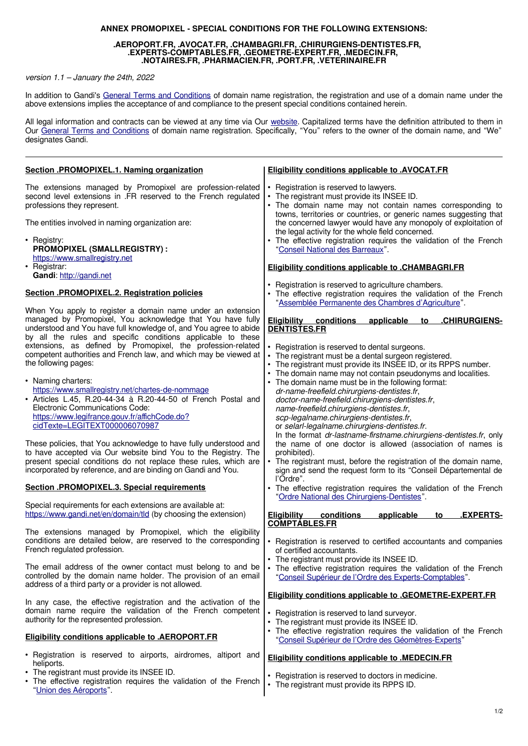## **ANNEX PROMOPIXEL - SPECIAL CONDITIONS FOR THE FOLLOWING EXTENSIONS:**

## **.AEROPORT.FR, .AVOCAT.FR, .CHAMBAGRI.FR, .CHIRURGIENS-DENTISTES.FR, .EXPERTS-COMPTABLES.FR, .GEOMETRE-EXPERT.FR, .MEDECIN.FR, .NOTAIRES.FR, .PHARMACIEN.FR, .PORT.FR, .VETERINAIRE.FR**

version 1.1 – January the 24th, 2022

In addition to Gandi's [General Terms and Conditions](https://www.gandi.net/en/contracts/terms-of-service) of domain name registration, the registration and use of a domain name under the above extensions implies the acceptance of and compliance to the present special conditions contained herein.

All legal information and contracts can be viewed at any time via Our [website.](https://www.gandi.net/en) Capitalized terms have the definition attributed to them in Our [General Terms and Conditions](https://www.gandi.net/fr/contracts/terms-of-service) of domain name registration. Specifically, "You" refers to the owner of the domain name, and "We" designates Gandi.

| Section .PROMOPIXEL.1. Naming organization                                                                                                                                                                                                                              | <b>Eligibility conditions applicable to .AVOCAT.FR</b>                                                                                                                                                                                                                                                 |
|-------------------------------------------------------------------------------------------------------------------------------------------------------------------------------------------------------------------------------------------------------------------------|--------------------------------------------------------------------------------------------------------------------------------------------------------------------------------------------------------------------------------------------------------------------------------------------------------|
| The extensions managed by Promopixel are profession-related<br>second level extensions in .FR reserved to the French regulated<br>professions they represent.                                                                                                           | Registration is reserved to lawyers.<br>• The registrant must provide its INSEE ID.<br>. The domain name may not contain names corresponding to<br>towns, territories or countries, or generic names suggesting that                                                                                   |
| The entities involved in naming organization are:                                                                                                                                                                                                                       | the concerned lawyer would have any monopoly of exploitation of                                                                                                                                                                                                                                        |
| • Registry:<br>PROMOPIXEL (SMALLREGISTRY) :<br>https://www.smallregistry.net<br>• Registrar:                                                                                                                                                                            | the legal activity for the whole field concerned.<br>The effective registration requires the validation of the French<br>"Conseil National des Barreaux".<br><b>Eligibility conditions applicable to .CHAMBAGRI.FR</b>                                                                                 |
| Gandi: http://gandi.net                                                                                                                                                                                                                                                 |                                                                                                                                                                                                                                                                                                        |
| Section .PROMOPIXEL.2. Registration policies                                                                                                                                                                                                                            | Registration is reserved to agriculture chambers.<br>The effective registration requires the validation of the French<br>"Assemblée Permanente des Chambres d'Agriculture".                                                                                                                            |
| When You apply to register a domain name under an extension<br>managed by Promopixel, You acknowledge that You have fully<br>understood and You have full knowledge of, and You agree to abide<br>by all the rules and specific conditions applicable to these          | <b>Eligibility conditions</b><br>applicable<br>.CHIRURGIENS-<br>to<br><b>DENTISTES.FR</b>                                                                                                                                                                                                              |
| extensions, as defined by Promopixel, the profession-related<br>competent authorities and French law, and which may be viewed at<br>the following pages:                                                                                                                | • Registration is reserved to dental surgeons.<br>The registrant must be a dental surgeon registered.<br>• The registrant must provide its INSEE ID, or its RPPS number.<br>The domain name may not contain pseudonyms and localities.                                                                 |
| • Naming charters:<br>https://www.smallregistry.net/chartes-de-nommage<br>• Articles L.45, R.20-44-34 à R.20-44-50 of French Postal and<br>Electronic Communications Code:<br>https://www.legifrance.gouv.fr/affichCode.do?<br>cidTexte=LEGITEXT000006070987            | • The domain name must be in the following format:<br>dr-name-freefield.chirurgiens-dentistes.fr,<br>doctor-name-freefield.chirurgiens-dentistes.fr,<br>name-freefield.chirurgiens-dentistes.fr,<br>scp-legalname.chirurgiens-dentistes.fr,<br>or selarl-legalname.chirurgiens-dentistes.fr.           |
| These policies, that You acknowledge to have fully understood and<br>to have accepted via Our website bind You to the Registry. The<br>present special conditions do not replace these rules, which are<br>incorporated by reference, and are binding on Gandi and You. | In the format dr-lastname-firstname.chirurgiens-dentistes.fr, only<br>the name of one doctor is allowed (association of names is<br>prohibited).<br>• The registrant must, before the registration of the domain name,<br>sign and send the request form to its "Conseil Départemental de<br>l'Ordre". |
| Section .PROMOPIXEL.3. Special requirements                                                                                                                                                                                                                             | The effective registration requires the validation of the French<br>"Ordre National des Chirurgiens-Dentistes".                                                                                                                                                                                        |
| Special requirements for each extensions are available at:<br>https://www.gandi.net/en/domain/tld (by choosing the extension)                                                                                                                                           | <b>EXPERTS-</b><br><b>Eligibility</b><br>conditions<br>applicable<br>to<br><b>COMPTABLES.FR</b>                                                                                                                                                                                                        |
| The extensions managed by Promopixel, which the eligibility<br>conditions are detailed below, are reserved to the corresponding<br>French regulated profession.                                                                                                         | • Registration is reserved to certified accountants and companies<br>of certified accountants.<br>• The registrant must provide its INSEE ID.                                                                                                                                                          |
| The email address of the owner contact must belong to and be<br>controlled by the domain name holder. The provision of an email<br>address of a third party or a provider is not allowed.                                                                               | • The effective registration requires the validation of the French<br>"Conseil Supérieur de l'Ordre des Experts-Comptables".                                                                                                                                                                           |
| In any case, the effective registration and the activation of the<br>domain name require the validation of the French competent<br>authority for the represented profession.                                                                                            | <b>Eligibility conditions applicable to .GEOMETRE-EXPERT.FR</b><br>• Registration is reserved to land surveyor.<br>The registrant must provide its INSEE ID.<br>٠                                                                                                                                      |
| <b>Eligibility conditions applicable to .AEROPORT.FR</b>                                                                                                                                                                                                                | The effective registration requires the validation of the French<br>"Conseil Supérieur de l'Ordre des Géomètres-Experts"                                                                                                                                                                               |
| • Registration is reserved to airports, airdromes, altiport and<br>heliports.                                                                                                                                                                                           | <b>Eligibility conditions applicable to .MEDECIN.FR</b>                                                                                                                                                                                                                                                |
| The registrant must provide its INSEE ID.<br>• The effective registration requires the validation of the French<br>"Union des Aéroports".                                                                                                                               | • Registration is reserved to doctors in medicine.<br>The registrant must provide its RPPS ID.<br>٠                                                                                                                                                                                                    |